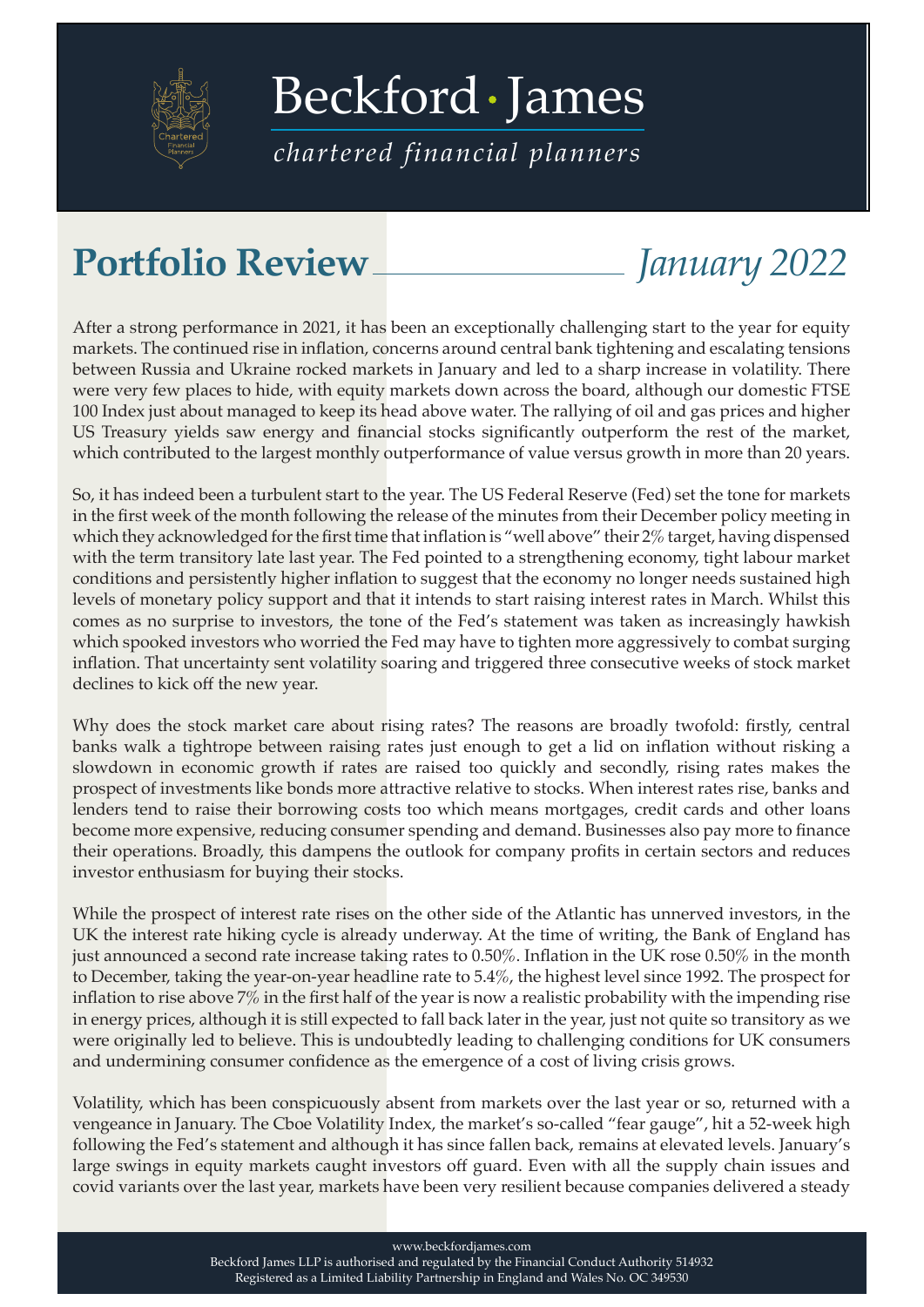

[Beckford James](https://beckfordjames.com/client-information/portfolio-reviews/)

*chartered financial planners*

## **Portfolio Review** *January 2022*

After a strong performance in 2021, it has been an exceptionally challenging start to the year for equity markets. The continued rise in inflation, concerns around central bank tightening and escalating tensions between Russia and Ukraine rocked markets in January and led to a sharp increase in volatility. There were very few places to hide, with equity markets down across the board, although our domestic FTSE 100 Index just about managed to keep its head above water. The rallying of oil and gas prices and higher US Treasury yields saw energy and financial stocks significantly outperform the rest of the market, which contributed to the largest monthly outperformance of value versus growth in more than 20 years.

So, it has indeed been a turbulent start to the year. The US Federal Reserve (Fed) set the tone for markets in the first week of the month following the release of the minutes from their December policy meeting in which they acknowledged for the first time that inflation is "well above" their 2% target, having dispensed with the term transitory late last year. The Fed pointed to a strengthening economy, tight labour market conditions and persistently higher inflation to suggest that the economy no longer needs sustained high levels of monetary policy support and that it intends to start raising interest rates in March. Whilst this comes as no surprise to investors, the tone of the Fed's statement was taken as increasingly hawkish which spooked investors who worried the Fed may have to tighten more aggressively to combat surging inflation. That uncertainty sent volatility soaring and triggered three consecutive weeks of stock market declines to kick off the new year.

Why does the stock market care about rising rates? The reasons are broadly twofold: firstly, central banks walk a tightrope between raising rates just enough to get a lid on inflation without risking a slowdown in economic growth if rates are raised too quickly and secondly, rising rates makes the prospect of investments like bonds more attractive relative to stocks. When interest rates rise, banks and lenders tend to raise their borrowing costs too which means mortgages, credit cards and other loans become more expensive, reducing consumer spending and demand. Businesses also pay more to finance their operations. Broadly, this dampens the outlook for company profits in certain sectors and reduces investor enthusiasm for buying their stocks.

While the prospect of interest rate rises on the other side of the Atlantic has unnerved investors, in the UK the interest rate hiking cycle is already underway. At the time of writing, the Bank of England has just announced a second rate increase taking rates to 0.50%. Inflation in the UK rose 0.50% in the month to December, taking the year-on-year headline rate to 5.4%, the highest level since 1992. The prospect for inflation to rise above 7% in the first half of the year is now a realistic probability with the impending rise in energy prices, although it is still expected to fall back later in the year, just not quite so transitory as we were originally led to believe. This is undoubtedly leading to challenging conditions for UK consumers and undermining consumer confidence as the emergence of a cost of living crisis grows.

Volatility, which has been conspicuously absent from markets over the last year or so, returned with a vengeance in January. The Cboe Volatility Index, the market's so-called "fear gauge", hit a 52-week high following the Fed's statement and although it has since fallen back, remains at elevated levels. January's large swings in equity markets caught investors off guard. Even with all the supply chain issues and covid variants over the last year, markets have been very resilient because companies delivered a steady

www.beckfordjames.com

Beckford James LLP is authorised and regulated by the Financial Conduct Authority 514932 Registered as a Limited Liability Partnership in England and Wales No. OC 349530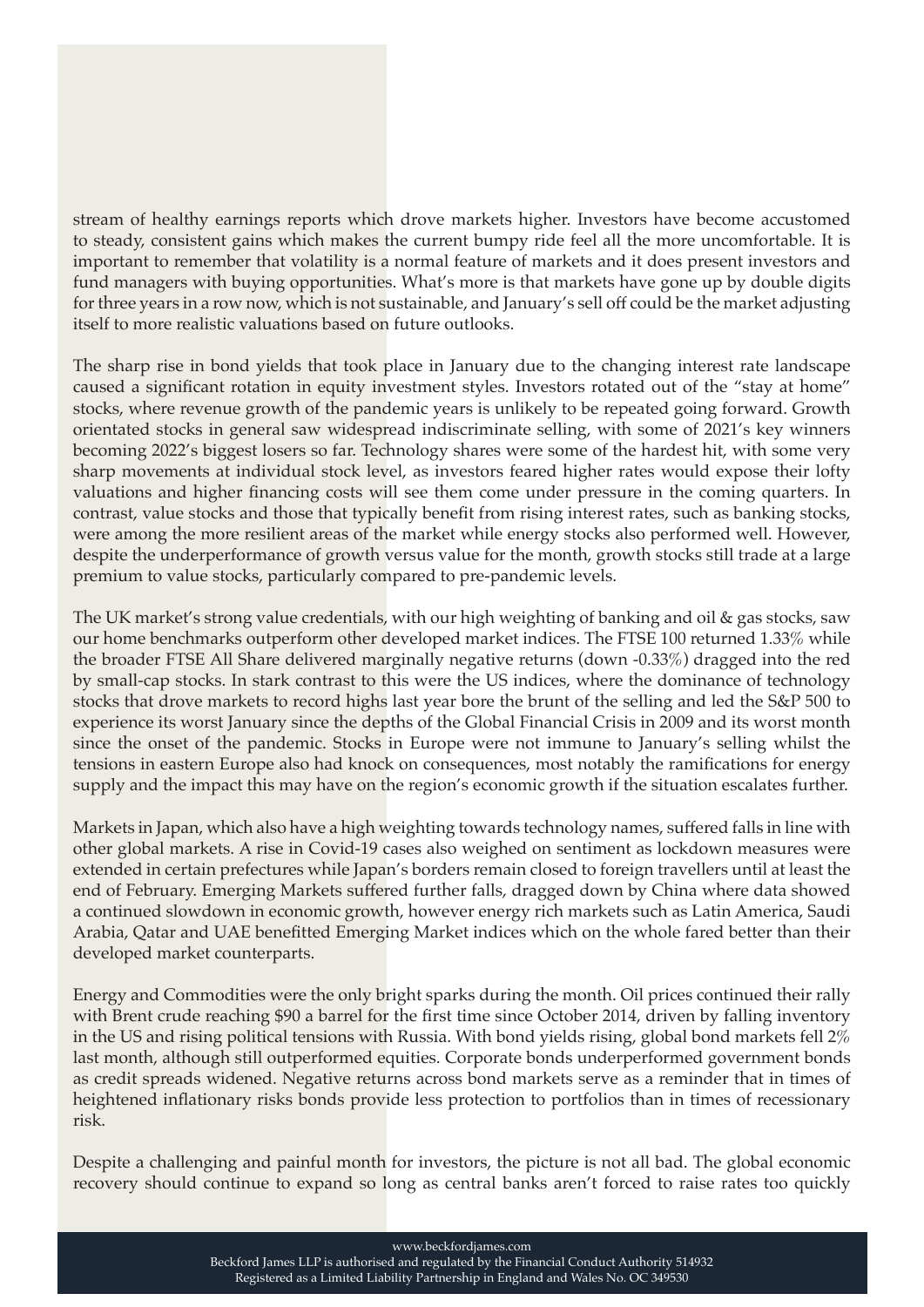stream of healthy earnings reports which drove markets higher. Investors have become accustomed to steady, consistent gains which makes the current bumpy ride feel all the more uncomfortable. It is important to remember that volatility is a normal feature of markets and it does present investors and fund managers with buying opportunities. What's more is that markets have gone up by double digits for three years in a row now, which is not sustainable, and January's sell off could be the market adjusting itself to more realistic valuations based on future outlooks.

The sharp rise in bond yields that took place in January due to the changing interest rate landscape caused a significant rotation in equity investment styles. Investors rotated out of the "stay at home" stocks, where revenue growth of the pandemic years is unlikely to be repeated going forward. Growth orientated stocks in general saw widespread indiscriminate selling, with some of 2021's key winners becoming 2022's biggest losers so far. Technology shares were some of the hardest hit, with some very sharp movements at individual stock level, as investors feared higher rates would expose their lofty valuations and higher financing costs will see them come under pressure in the coming quarters. In contrast, value stocks and those that typically benefit from rising interest rates, such as banking stocks, were among the more resilient areas of the market while energy stocks also performed well. However, despite the underperformance of growth versus value for the month, growth stocks still trade at a large premium to value stocks, particularly compared to pre-pandemic levels.

The UK market's strong value credentials, with our high weighting of banking and oil & gas stocks, saw our home benchmarks outperform other developed market indices. The FTSE 100 returned 1.33% while the broader FTSE All Share delivered marginally negative returns (down -0.33%) dragged into the red by small-cap stocks. In stark contrast to this were the US indices, where the dominance of technology stocks that drove markets to record highs last year bore the brunt of the selling and led the S&P 500 to experience its worst January since the depths of the Global Financial Crisis in 2009 and its worst month since the onset of the pandemic. Stocks in Europe were not immune to January's selling whilst the tensions in eastern Europe also had knock on consequences, most notably the ramifications for energy supply and the impact this may have on the region's economic growth if the situation escalates further.

Markets in Japan, which also have a high weighting towards technology names, suffered falls in line with other global markets. A rise in Covid-19 cases also weighed on sentiment as lockdown measures were extended in certain prefectures while Japan's borders remain closed to foreign travellers until at least the end of February. Emerging Markets suffered further falls, dragged down by China where data showed a continued slowdown in economic growth, however energy rich markets such as Latin America, Saudi Arabia, Qatar and UAE benefitted Emerging Market indices which on the whole fared better than their developed market counterparts.

Energy and Commodities were the only bright sparks during the month. Oil prices continued their rally with Brent crude reaching \$90 a barrel for the first time since October 2014, driven by falling inventory in the US and rising political tensions with Russia. With bond yields rising, global bond markets fell 2% last month, although still outperformed equities. Corporate bonds underperformed government bonds as credit spreads widened. Negative returns across bond markets serve as a reminder that in times of heightened inflationary risks bonds provide less protection to portfolios than in times of recessionary risk.

Despite a challenging and painful month for investors, the picture is not all bad. The global economic recovery should continue to expand so long as central banks aren't forced to raise rates too quickly

www.beckfordjames.com

Beckford James LLP is authorised and regulated by the Financial Conduct Authority 514932 Registered as a Limited Liability Partnership in England and Wales No. OC 349530